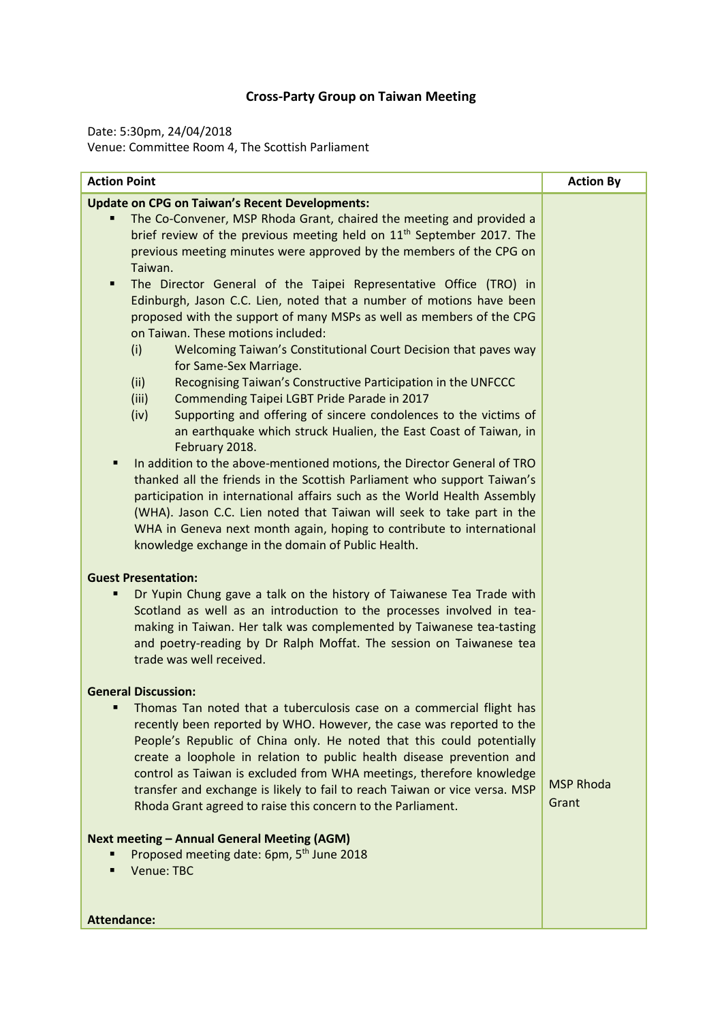## **Cross-Party Group on Taiwan Meeting**

Date: 5:30pm, 24/04/2018 Venue: Committee Room 4, The Scottish Parliament

| <b>Action Point</b>                                                                                                                                                                                                                                                                                                                                                                                                                                                                                                                                                                                                                               | <b>Action By</b>          |
|---------------------------------------------------------------------------------------------------------------------------------------------------------------------------------------------------------------------------------------------------------------------------------------------------------------------------------------------------------------------------------------------------------------------------------------------------------------------------------------------------------------------------------------------------------------------------------------------------------------------------------------------------|---------------------------|
| <b>Update on CPG on Taiwan's Recent Developments:</b>                                                                                                                                                                                                                                                                                                                                                                                                                                                                                                                                                                                             |                           |
| The Co-Convener, MSP Rhoda Grant, chaired the meeting and provided a<br>brief review of the previous meeting held on 11 <sup>th</sup> September 2017. The<br>previous meeting minutes were approved by the members of the CPG on<br>Taiwan.                                                                                                                                                                                                                                                                                                                                                                                                       |                           |
| The Director General of the Taipei Representative Office (TRO) in<br>٠<br>Edinburgh, Jason C.C. Lien, noted that a number of motions have been<br>proposed with the support of many MSPs as well as members of the CPG<br>on Taiwan. These motions included:<br>Welcoming Taiwan's Constitutional Court Decision that paves way<br>(i)<br>for Same-Sex Marriage.<br>Recognising Taiwan's Constructive Participation in the UNFCCC<br>(ii)<br>(iii)<br>Commending Taipei LGBT Pride Parade in 2017<br>(iv)<br>Supporting and offering of sincere condolences to the victims of<br>an earthquake which struck Hualien, the East Coast of Taiwan, in |                           |
| February 2018.<br>In addition to the above-mentioned motions, the Director General of TRO<br>thanked all the friends in the Scottish Parliament who support Taiwan's<br>participation in international affairs such as the World Health Assembly<br>(WHA). Jason C.C. Lien noted that Taiwan will seek to take part in the<br>WHA in Geneva next month again, hoping to contribute to international<br>knowledge exchange in the domain of Public Health.                                                                                                                                                                                         |                           |
| <b>Guest Presentation:</b>                                                                                                                                                                                                                                                                                                                                                                                                                                                                                                                                                                                                                        |                           |
| Dr Yupin Chung gave a talk on the history of Taiwanese Tea Trade with<br>Scotland as well as an introduction to the processes involved in tea-<br>making in Taiwan. Her talk was complemented by Taiwanese tea-tasting<br>and poetry-reading by Dr Ralph Moffat. The session on Taiwanese tea<br>trade was well received.                                                                                                                                                                                                                                                                                                                         |                           |
| <b>General Discussion:</b>                                                                                                                                                                                                                                                                                                                                                                                                                                                                                                                                                                                                                        |                           |
| Thomas Tan noted that a tuberculosis case on a commercial flight has<br>recently been reported by WHO. However, the case was reported to the<br>People's Republic of China only. He noted that this could potentially<br>create a loophole in relation to public health disease prevention and<br>control as Taiwan is excluded from WHA meetings, therefore knowledge<br>transfer and exchange is likely to fail to reach Taiwan or vice versa. MSP<br>Rhoda Grant agreed to raise this concern to the Parliament.                                                                                                                               | <b>MSP Rhoda</b><br>Grant |
| <b>Next meeting - Annual General Meeting (AGM)</b>                                                                                                                                                                                                                                                                                                                                                                                                                                                                                                                                                                                                |                           |
| Proposed meeting date: 6pm, 5 <sup>th</sup> June 2018<br>Venue: TBC<br>Ξ                                                                                                                                                                                                                                                                                                                                                                                                                                                                                                                                                                          |                           |
| <b>Attendance:</b>                                                                                                                                                                                                                                                                                                                                                                                                                                                                                                                                                                                                                                |                           |